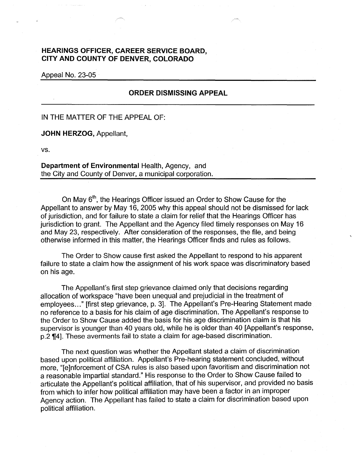## **HEARINGS OFFICER, CAREER SERVICE BOARD, CITY AND COUNTY OF DENVER, COLORADO**

Appeal No. 23-05

## **ORDER DISMISSING APPEAL**

IN THE MATTER OF THE APPEAL OF:

**JOHN HERZOG,** Appellant,

vs.

**Department of Environmental** Health, Agency, and the City and County of Denver, a municipal corporation.

On May 6<sup>th</sup>, the Hearings Officer issued an Order to Show Cause for the Appellant to answer by May 16, 2005 why this appeal should not be dismissed for lack of jurisdiction, and for failure to state a claim for relief that the Hearings Officer has jurisdiction to grant. The Appellant and the Agency filed timely responses on May 16 and May 23, respectively. After consideration of the responses, the file, and being otherwise informed in this matter, the Hearings Officer finds and rules as follows.

The Order to Show cause first asked the Appellant to respond to his apparent failure to state a claim how the assignment of his work space was discriminatory based on his age.

The Appellant's first step grievance claimed only that decisions regarding allocation of workspace "have been unequal and prejudicial in the treatment of employees..." [first step grievance, p. 3]. The Appellant's Pre-Hearing Statement made no reference to a basis for his claim of age discrimination. The Appellant's response to the Order to Show Cause added the basis for his age discrimination claim is that his supervisor is younger than 40 years old, while he is older than 40 [Appellant's response, p.2 ¶4]. These averments fail to state a claim for age-based discrimination.

The next question was whether the Appellant stated a claim of discrimination based upon political affiliation. Appellant's Pre-hearing statement concluded, without more, "[e]nforcement of CSA rules is also based upon favoritism and discrimination not a reasonable impartial standard." His response to the Order to Show Cause failed to articulate the Appellant's political affiliation, that of his supervisor, and provided no basis from which to infer how political affiliation may have been a factor in an improper Agency action. The Appellant has failed to state a claim for discrimination based upon political affiliation.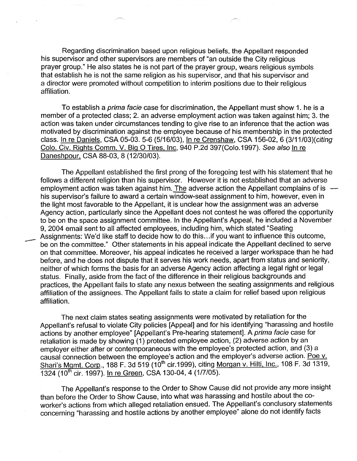Regarding discrimination based upon religious beliefs, the Appellant responded his supervisor and other supervisors are members of "an outside the City religious prayer group." He also states he is not part of the prayer group, wears religious symbols that establish he is not the same religion as his supervisor, and that his supervisor and a director were promoted without competition to interim positions due to their religious affiliation.

To establish a prima facie case for discrimination, the Appellant must show 1. he is a member of a protected class; 2. an adverse employment action was taken against him; 3. the action was taken under circumstances tending to give rise to an inference that the action was motivated by discrimination against the employee because of his membership in the protected class. In re Daniels, CSA 05-03. 5-6 (5/16/03), In re Crenshaw, CSA 156-02, 6 (3/11/03)(citing Colo. Civ. Rights Comm. V. Big O Tires, Inc, 940 P.2d 397(Colo.1997). See also In re Daneshpour, CSA 88-03, 8 (12/30/03).

The Appellant established the first prong of the foregoing test with his statement that he follows a different religion than his supervisor. However it is not established that an adverse employment action was taken against him. The adverse action the Appellant complains of is  $$ his supervisor's failure to award a certain window-seat assignment to him, however, even in the light most favorable to the Appellant, it is unclear how the assignment was an adverse Agency action, particularly since the Appellant does not contest he was offered the opportunity to be on the space assignment committee. In the Appellant's Appeal, he included a November 9, 2004 email sent to all affected employees, including him, which stated "Seating Assignments: We'd like staff to decide how to do this... if you want to influence this outcome, be on the committee." Other statements in his appeal indicate the Appellant declined to serve on that committee. Moreover, his appeal indicates he received a larger workspace than he had before, and he does not dispute that it serves his work needs, apart from status and seniority, neither of which forms the basis for an adverse Agency action affecting a legal right or legal status. Finally, aside from the fact of the difference in their religious backgrounds and practices, the Appellant fails to state any nexus between the seating assignments and religious affiliation of the assignees. The Appellant fails to state a claim for relief based upon religious affiliation.

-<br>-<br>-<br>-<br>-

The next claim states seating assignments were motivated by retaliation for the Appellant's refusal to violate City policies [Appeal] and for his identifying "harassing and hostile actions by another employee" [Appellant's Pre-hearing statement]. A prima facie case for retaliation is made by showing (1) protected employee action, (2) adverse action by an employer either after or contemporaneous with the employee's protected action, and (3) a causal connection between the employee's action and the employer's adverse action. Poe v. Shari's Mgmt. Corp., 188 F. 3d 519 (10<sup>th</sup> cir.1999), citing <u>Morgan v. Hilti, Inc.</u>, 108 F. 3d 1319, 1324 (10<sup>th</sup> cir. 1997). In re Green, CSA 130-04, 4 (1/7/05).

The Appellant's response to the Order to Show Cause did not provide any more insight than before the Order to Show Cause, into what was harassing and hostile about the coworker's actions from which alleged retaliation ensued. The Appellant's conclusory statements concerning "harassing and hostile actions by another employee" alone do not identify facts